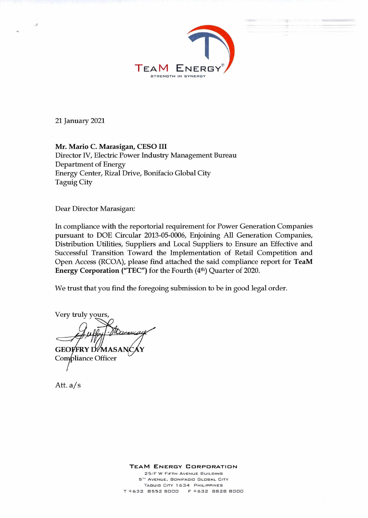

21 January 2021

 $\sim$ 

**Mr. Mario C. Marasigan, CESO III**  Director IV, Electric Power Industry Management Bureau Department of Energy Energy Center, Rizal Drive, Bonifacio Global City Taguig City

Dear Director Marasigan:

In compliance with the reportorial requirement for Power Generation Companies pursuant to DOE Circular 2013-05-0006, Enjoining All Generation Companies, Distribution Utilities, Suppliers and Local Suppliers to Ensure an Effective and Successful Transition Toward the Implementation of Retail Competition and Open Access (RCOA), please find attached the said compliance report for **TeaM Energy Corporation ("TEC")** for the Fourth (4<sup>th</sup>) Quarter of 2020.

We trust that you find the foregoing submission to be in good legal order.

Very truly yours,  $\searrow$ 1. Stace  $\rightarrow$ 

**GEOVERY DIMASA** Compliance Officer

Att. a/s

**TEAM ENERGY CORPORATION**  25/F W FIFTH AVENUE BUILDING 5<sup>TH</sup> AVENUE, BONIFACIO GLOBAL CITY TAGUIG CITY 1634 PHILIPPINES T +632 8552 8000 F +632 8828 8000